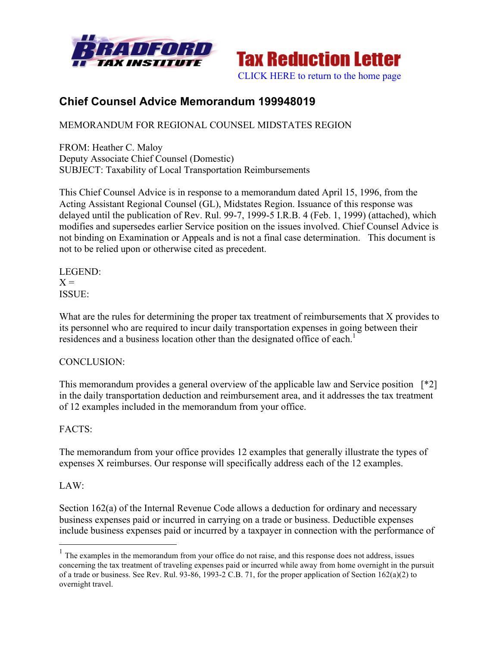



# **Chief Counsel Advice Memorandum 199948019**

MEMORANDUM FOR REGIONAL COUNSEL MIDSTATES REGION

FROM: Heather C. Maloy Deputy Associate Chief Counsel (Domestic) SUBJECT: Taxability of Local Transportation Reimbursements

This Chief Counsel Advice is in response to a memorandum dated April 15, 1996, from the Acting Assistant Regional Counsel (GL), Midstates Region. Issuance of this response was delayed until the publication of Rev. Rul. 99-7, 1999-5 I.R.B. 4 (Feb. 1, 1999) (attached), which modifies and supersedes earlier Service position on the issues involved. Chief Counsel Advice is not binding on Examination or Appeals and is not a final case determination. This document is not to be relied upon or otherwise cited as precedent.

LEGEND:  $X =$ ISSUE:

What are the rules for determining the proper tax treatment of reimbursements that X provides to its personnel who are required to incur daily transportation expenses in going between their residences and a business location other than the designated office of each.<sup>1</sup>

## CONCLUSION:

This memorandum provides a general overview of the applicable law and Service position [\*2] in the daily transportation deduction and reimbursement area, and it addresses the tax treatment of 12 examples included in the memorandum from your office.

## FACTS:

The memorandum from your office provides 12 examples that generally illustrate the types of expenses X reimburses. Our response will specifically address each of the 12 examples.

## LAW:

Section 162(a) of the Internal Revenue Code allows a deduction for ordinary and necessary business expenses paid or incurred in carrying on a trade or business. Deductible expenses include business expenses paid or incurred by a taxpayer in connection with the performance of

 $<sup>1</sup>$  The examples in the memorandum from your office do not raise, and this response does not address, issues</sup> concerning the tax treatment of traveling expenses paid or incurred while away from home overnight in the pursuit of a trade or business. See Rev. Rul. 93-86, 1993-2 C.B. 71, for the proper application of Section 162(a)(2) to overnight travel.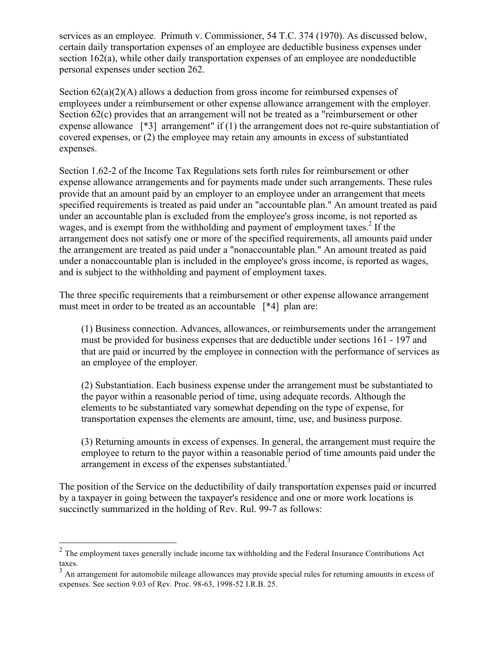services as an employee. Primuth v. Commissioner, 54 T.C. 374 (1970). As discussed below, certain daily transportation expenses of an employee are deductible business expenses under section 162(a), while other daily transportation expenses of an employee are nondeductible personal expenses under section 262.

Section 62(a)(2)(A) allows a deduction from gross income for reimbursed expenses of employees under a reimbursement or other expense allowance arrangement with the employer. Section 62(c) provides that an arrangement will not be treated as a "reimbursement or other expense allowance [\*3] arrangement" if (1) the arrangement does not re-quire substantiation of covered expenses, or (2) the employee may retain any amounts in excess of substantiated expenses.

Section 1.62-2 of the Income Tax Regulations sets forth rules for reimbursement or other expense allowance arrangements and for payments made under such arrangements. These rules provide that an amount paid by an employer to an employee under an arrangement that meets specified requirements is treated as paid under an "accountable plan." An amount treated as paid under an accountable plan is excluded from the employee's gross income, is not reported as wages, and is exempt from the withholding and payment of employment taxes.<sup>2</sup> If the arrangement does not satisfy one or more of the specified requirements, all amounts paid under the arrangement are treated as paid under a "nonaccountable plan." An amount treated as paid under a nonaccountable plan is included in the employee's gross income, is reported as wages, and is subject to the withholding and payment of employment taxes.

The three specific requirements that a reimbursement or other expense allowance arrangement must meet in order to be treated as an accountable [\*4] plan are:

(1) Business connection. Advances, allowances, or reimbursements under the arrangement must be provided for business expenses that are deductible under sections 161 - 197 and that are paid or incurred by the employee in connection with the performance of services as an employee of the employer.

(2) Substantiation. Each business expense under the arrangement must be substantiated to the payor within a reasonable period of time, using adequate records. Although the elements to be substantiated vary somewhat depending on the type of expense, for transportation expenses the elements are amount, time, use, and business purpose.

(3) Returning amounts in excess of expenses. In general, the arrangement must require the employee to return to the payor within a reasonable period of time amounts paid under the arrangement in excess of the expenses substantiated.<sup>3</sup>

The position of the Service on the deductibility of daily transportation expenses paid or incurred by a taxpayer in going between the taxpayer's residence and one or more work locations is succinctly summarized in the holding of Rev. Rul. 99-7 as follows:

<sup>&</sup>lt;sup>2</sup> The employment taxes generally include income tax withholding and the Federal Insurance Contributions Act taxes.

<sup>&</sup>lt;sup>3</sup> An arrangement for automobile mileage allowances may provide special rules for returning amounts in excess of expenses. See section 9.03 of Rev. Proc. 98-63, 1998-52 I.R.B. 25.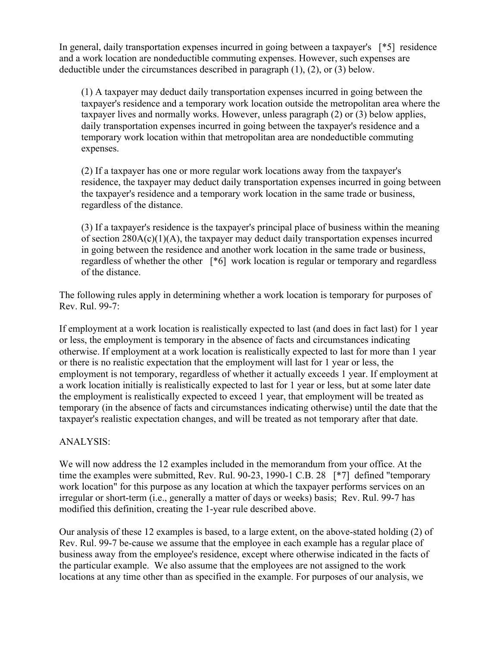In general, daily transportation expenses incurred in going between a taxpayer's [\*5] residence and a work location are nondeductible commuting expenses. However, such expenses are deductible under the circumstances described in paragraph (1), (2), or (3) below.

(1) A taxpayer may deduct daily transportation expenses incurred in going between the taxpayer's residence and a temporary work location outside the metropolitan area where the taxpayer lives and normally works. However, unless paragraph (2) or (3) below applies, daily transportation expenses incurred in going between the taxpayer's residence and a temporary work location within that metropolitan area are nondeductible commuting expenses.

(2) If a taxpayer has one or more regular work locations away from the taxpayer's residence, the taxpayer may deduct daily transportation expenses incurred in going between the taxpayer's residence and a temporary work location in the same trade or business, regardless of the distance.

(3) If a taxpayer's residence is the taxpayer's principal place of business within the meaning of section  $280A(c)(1)(A)$ , the taxpayer may deduct daily transportation expenses incurred in going between the residence and another work location in the same trade or business, regardless of whether the other [\*6] work location is regular or temporary and regardless of the distance.

The following rules apply in determining whether a work location is temporary for purposes of Rev. Rul. 99-7:

If employment at a work location is realistically expected to last (and does in fact last) for 1 year or less, the employment is temporary in the absence of facts and circumstances indicating otherwise. If employment at a work location is realistically expected to last for more than 1 year or there is no realistic expectation that the employment will last for 1 year or less, the employment is not temporary, regardless of whether it actually exceeds 1 year. If employment at a work location initially is realistically expected to last for 1 year or less, but at some later date the employment is realistically expected to exceed 1 year, that employment will be treated as temporary (in the absence of facts and circumstances indicating otherwise) until the date that the taxpayer's realistic expectation changes, and will be treated as not temporary after that date.

### ANALYSIS:

We will now address the 12 examples included in the memorandum from your office. At the time the examples were submitted, Rev. Rul. 90-23, 1990-1 C.B. 28 [\*7] defined "temporary work location" for this purpose as any location at which the taxpayer performs services on an irregular or short-term (i.e., generally a matter of days or weeks) basis; Rev. Rul. 99-7 has modified this definition, creating the 1-year rule described above.

Our analysis of these 12 examples is based, to a large extent, on the above-stated holding (2) of Rev. Rul. 99-7 be-cause we assume that the employee in each example has a regular place of business away from the employee's residence, except where otherwise indicated in the facts of the particular example. We also assume that the employees are not assigned to the work locations at any time other than as specified in the example. For purposes of our analysis, we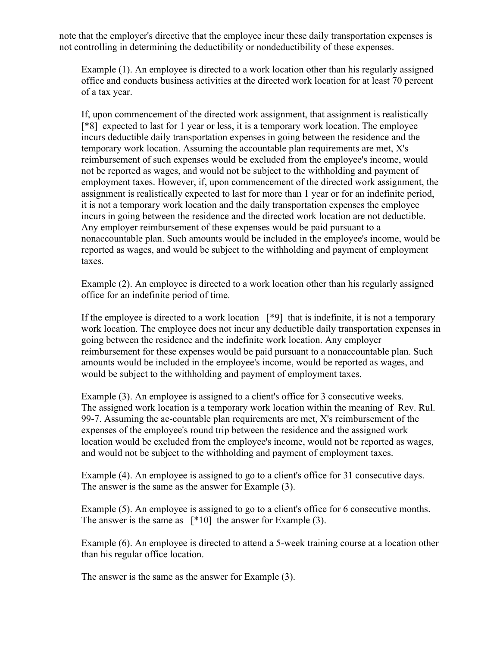note that the employer's directive that the employee incur these daily transportation expenses is not controlling in determining the deductibility or nondeductibility of these expenses.

Example (1). An employee is directed to a work location other than his regularly assigned office and conducts business activities at the directed work location for at least 70 percent of a tax year.

If, upon commencement of the directed work assignment, that assignment is realistically [\*8] expected to last for 1 year or less, it is a temporary work location. The employee incurs deductible daily transportation expenses in going between the residence and the temporary work location. Assuming the accountable plan requirements are met, X's reimbursement of such expenses would be excluded from the employee's income, would not be reported as wages, and would not be subject to the withholding and payment of employment taxes. However, if, upon commencement of the directed work assignment, the assignment is realistically expected to last for more than 1 year or for an indefinite period, it is not a temporary work location and the daily transportation expenses the employee incurs in going between the residence and the directed work location are not deductible. Any employer reimbursement of these expenses would be paid pursuant to a nonaccountable plan. Such amounts would be included in the employee's income, would be reported as wages, and would be subject to the withholding and payment of employment taxes.

Example (2). An employee is directed to a work location other than his regularly assigned office for an indefinite period of time.

If the employee is directed to a work location  $[*9]$  that is indefinite, it is not a temporary work location. The employee does not incur any deductible daily transportation expenses in going between the residence and the indefinite work location. Any employer reimbursement for these expenses would be paid pursuant to a nonaccountable plan. Such amounts would be included in the employee's income, would be reported as wages, and would be subject to the withholding and payment of employment taxes.

Example (3). An employee is assigned to a client's office for 3 consecutive weeks. The assigned work location is a temporary work location within the meaning of Rev. Rul. 99-7. Assuming the ac-countable plan requirements are met, X's reimbursement of the expenses of the employee's round trip between the residence and the assigned work location would be excluded from the employee's income, would not be reported as wages, and would not be subject to the withholding and payment of employment taxes.

Example (4). An employee is assigned to go to a client's office for 31 consecutive days. The answer is the same as the answer for Example (3).

Example (5). An employee is assigned to go to a client's office for 6 consecutive months. The answer is the same as [\*10] the answer for Example (3).

Example (6). An employee is directed to attend a 5-week training course at a location other than his regular office location.

The answer is the same as the answer for Example (3).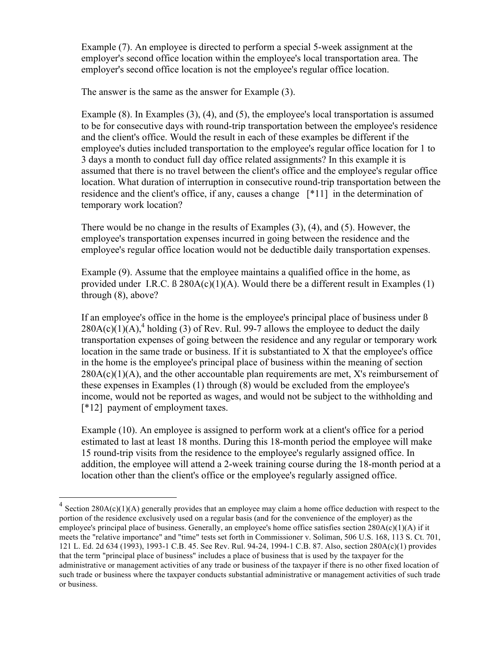Example (7). An employee is directed to perform a special 5-week assignment at the employer's second office location within the employee's local transportation area. The employer's second office location is not the employee's regular office location.

The answer is the same as the answer for Example (3).

Example (8). In Examples (3), (4), and (5), the employee's local transportation is assumed to be for consecutive days with round-trip transportation between the employee's residence and the client's office. Would the result in each of these examples be different if the employee's duties included transportation to the employee's regular office location for 1 to 3 days a month to conduct full day office related assignments? In this example it is assumed that there is no travel between the client's office and the employee's regular office location. What duration of interruption in consecutive round-trip transportation between the residence and the client's office, if any, causes a change [\*11] in the determination of temporary work location?

There would be no change in the results of Examples (3), (4), and (5). However, the employee's transportation expenses incurred in going between the residence and the employee's regular office location would not be deductible daily transportation expenses.

Example (9). Assume that the employee maintains a qualified office in the home, as provided under I.R.C.  $\beta$  280A(c)(1)(A). Would there be a different result in Examples (1) through (8), above?

If an employee's office in the home is the employee's principal place of business under ß  $280A(c)(1)(A)$ ,<sup>4</sup> holding (3) of Rev. Rul. 99-7 allows the employee to deduct the daily transportation expenses of going between the residence and any regular or temporary work location in the same trade or business. If it is substantiated to X that the employee's office in the home is the employee's principal place of business within the meaning of section  $280A(c)(1)(A)$ , and the other accountable plan requirements are met, X's reimbursement of these expenses in Examples (1) through (8) would be excluded from the employee's income, would not be reported as wages, and would not be subject to the withholding and [\*12] payment of employment taxes.

Example (10). An employee is assigned to perform work at a client's office for a period estimated to last at least 18 months. During this 18-month period the employee will make 15 round-trip visits from the residence to the employee's regularly assigned office. In addition, the employee will attend a 2-week training course during the 18-month period at a location other than the client's office or the employee's regularly assigned office.

 $4$  Section 280A(c)(1)(A) generally provides that an employee may claim a home office deduction with respect to the portion of the residence exclusively used on a regular basis (and for the convenience of the employer) as the employee's principal place of business. Generally, an employee's home office satisfies section 280A(c)(1)(A) if it meets the "relative importance" and "time" tests set forth in Commissioner v. Soliman, 506 U.S. 168, 113 S. Ct. 701, 121 L. Ed. 2d 634 (1993), 1993-1 C.B. 45. See Rev. Rul. 94-24, 1994-1 C.B. 87. Also, section 280A(c)(1) provides that the term "principal place of business" includes a place of business that is used by the taxpayer for the administrative or management activities of any trade or business of the taxpayer if there is no other fixed location of such trade or business where the taxpayer conducts substantial administrative or management activities of such trade or business.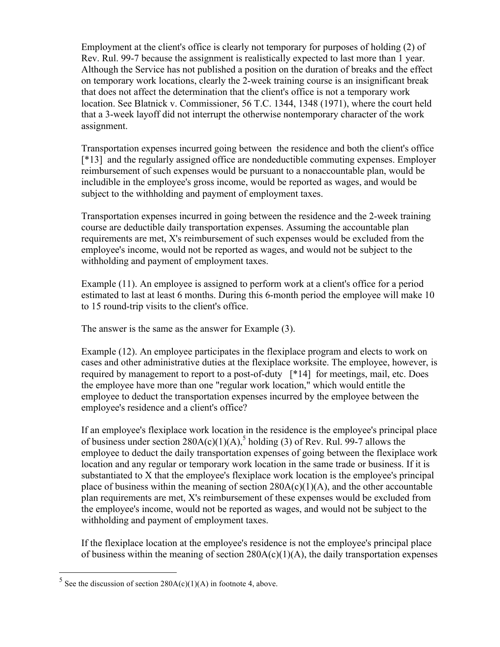Employment at the client's office is clearly not temporary for purposes of holding (2) of Rev. Rul. 99-7 because the assignment is realistically expected to last more than 1 year. Although the Service has not published a position on the duration of breaks and the effect on temporary work locations, clearly the 2-week training course is an insignificant break that does not affect the determination that the client's office is not a temporary work location. See Blatnick v. Commissioner, 56 T.C. 1344, 1348 (1971), where the court held that a 3-week layoff did not interrupt the otherwise nontemporary character of the work assignment.

Transportation expenses incurred going between the residence and both the client's office [\*13] and the regularly assigned office are nondeductible commuting expenses. Employer reimbursement of such expenses would be pursuant to a nonaccountable plan, would be includible in the employee's gross income, would be reported as wages, and would be subject to the withholding and payment of employment taxes.

Transportation expenses incurred in going between the residence and the 2-week training course are deductible daily transportation expenses. Assuming the accountable plan requirements are met, X's reimbursement of such expenses would be excluded from the employee's income, would not be reported as wages, and would not be subject to the withholding and payment of employment taxes.

Example (11). An employee is assigned to perform work at a client's office for a period estimated to last at least 6 months. During this 6-month period the employee will make 10 to 15 round-trip visits to the client's office.

The answer is the same as the answer for Example (3).

Example (12). An employee participates in the flexiplace program and elects to work on cases and other administrative duties at the flexiplace worksite. The employee, however, is required by management to report to a post-of-duty [\*14] for meetings, mail, etc. Does the employee have more than one "regular work location," which would entitle the employee to deduct the transportation expenses incurred by the employee between the employee's residence and a client's office?

If an employee's flexiplace work location in the residence is the employee's principal place of business under section  $280A(c)(1)(A)$ ,<sup>5</sup> holding (3) of Rev. Rul. 99-7 allows the employee to deduct the daily transportation expenses of going between the flexiplace work location and any regular or temporary work location in the same trade or business. If it is substantiated to X that the employee's flexiplace work location is the employee's principal place of business within the meaning of section  $280A(c)(1)(A)$ , and the other accountable plan requirements are met, X's reimbursement of these expenses would be excluded from the employee's income, would not be reported as wages, and would not be subject to the withholding and payment of employment taxes.

If the flexiplace location at the employee's residence is not the employee's principal place of business within the meaning of section  $280A(c)(1)(A)$ , the daily transportation expenses

<sup>&</sup>lt;sup>5</sup> See the discussion of section  $280A(c)(1)(A)$  in footnote 4, above.